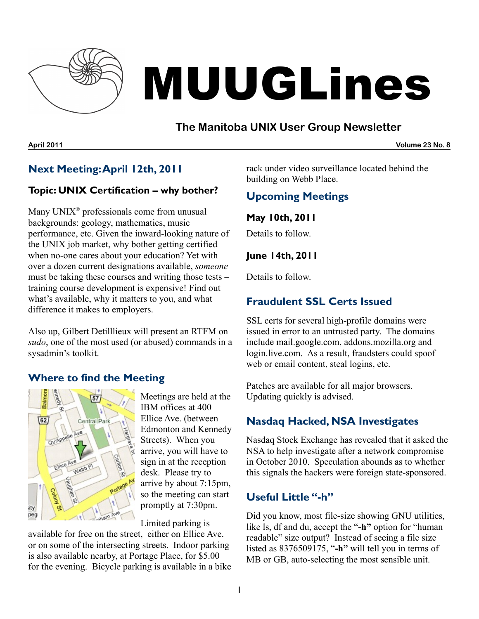

# MUUGLines

## **The Manitoba UNIX User Group Newsletter**

**April 2011 Volume 23 No. 8**

# **Next Meeting:April 12th, 2011**

#### **Topic: UNIX Certification – why bother?**

Many UNIX<sup>®</sup> professionals come from unusual backgrounds: geology, mathematics, music performance, etc. Given the inward-looking nature of the UNIX job market, why bother getting certified when no-one cares about your education? Yet with over a dozen current designations available, *someone* must be taking these courses and writing those tests – training course development is expensive! Find out what's available, why it matters to you, and what difference it makes to employers.

Also up, Gilbert Detilllieux will present an RTFM on *sudo*, one of the most used (or abused) commands in a sysadmin's toolkit.

### **Where to find the Meeting**



Meetings are held at the IBM offices at 400 Ellice Ave. (between Edmonton and Kennedy Streets). When you arrive, you will have to sign in at the reception desk. Please try to arrive by about 7:15pm, so the meeting can start promptly at 7:30pm.

Limited parking is

available for free on the street, either on Ellice Ave. or on some of the intersecting streets. Indoor parking is also available nearby, at Portage Place, for \$5.00 for the evening. Bicycle parking is available in a bike rack under video surveillance located behind the building on Webb Place.

# **Upcoming Meetings**

**May 10th, 2011**

Details to follow.

#### **June 14th, 2011**

Details to follow.

# **Fraudulent SSL Certs Issued**

SSL certs for several high-profile domains were issued in error to an untrusted party. The domains include mail.google.com, addons.mozilla.org and login.live.com. As a result, fraudsters could spoof web or email content, steal logins, etc.

Patches are available for all major browsers. Updating quickly is advised.

# **Nasdaq Hacked, NSA Investigates**

Nasdaq Stock Exchange has revealed that it asked the NSA to help investigate after a network compromise in October 2010. Speculation abounds as to whether this signals the hackers were foreign state-sponsored.

## **Useful Little "-h"**

Did you know, most file-size showing GNU utilities, like ls, df and du, accept the "**-h"** option for "human readable" size output? Instead of seeing a file size listed as 8376509175, "**-h"** will tell you in terms of MB or GB, auto-selecting the most sensible unit.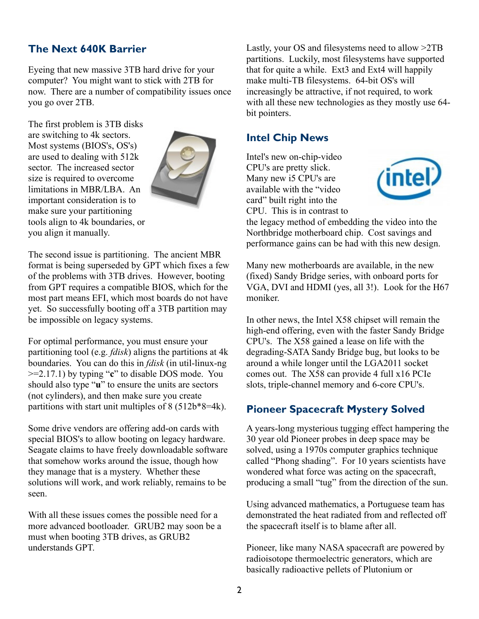## **The Next 640K Barrier**

Eyeing that new massive 3TB hard drive for your computer? You might want to stick with 2TB for now. There are a number of compatibility issues once you go over 2TB.

The first problem is 3TB disks are switching to 4k sectors. Most systems (BIOS's, OS's) are used to dealing with 512k sector. The increased sector size is required to overcome limitations in MBR/LBA. An important consideration is to make sure your partitioning tools align to 4k boundaries, or you align it manually.



The second issue is partitioning. The ancient MBR format is being superseded by GPT which fixes a few of the problems with 3TB drives. However, booting from GPT requires a compatible BIOS, which for the most part means EFI, which most boards do not have yet. So successfully booting off a 3TB partition may be impossible on legacy systems.

For optimal performance, you must ensure your partitioning tool (e.g. *fdisk*) aligns the partitions at 4k boundaries. You can do this in *fdisk* (in util-linux-ng >=2.17.1) by typing "**c**" to disable DOS mode. You should also type "**u**" to ensure the units are sectors (not cylinders), and then make sure you create partitions with start unit multiples of 8 (512b\*8=4k).

Some drive vendors are offering add-on cards with special BIOS's to allow booting on legacy hardware. Seagate claims to have freely downloadable software that somehow works around the issue, though how they manage that is a mystery. Whether these solutions will work, and work reliably, remains to be seen.

With all these issues comes the possible need for a more advanced bootloader. GRUB2 may soon be a must when booting 3TB drives, as GRUB2 understands GPT.

Lastly, your OS and filesystems need to allow >2TB partitions. Luckily, most filesystems have supported that for quite a while. Ext3 and Ext4 will happily make multi-TB filesystems. 64-bit OS's will increasingly be attractive, if not required, to work with all these new technologies as they mostly use 64 bit pointers.

### **Intel Chip News**

Intel's new on-chip-video CPU's are pretty slick. Many new i5 CPU's are available with the "video card" built right into the CPU. This is in contrast to



the legacy method of embedding the video into the Northbridge motherboard chip. Cost savings and performance gains can be had with this new design.

Many new motherboards are available, in the new (fixed) Sandy Bridge series, with onboard ports for VGA, DVI and HDMI (yes, all 3!). Look for the H67 moniker.

In other news, the Intel X58 chipset will remain the high-end offering, even with the faster Sandy Bridge CPU's. The X58 gained a lease on life with the degrading-SATA Sandy Bridge bug, but looks to be around a while longer until the LGA2011 socket comes out. The X58 can provide 4 full x16 PCIe slots, triple-channel memory and 6-core CPU's.

## **Pioneer Spacecraft Mystery Solved**

A years-long mysterious tugging effect hampering the 30 year old Pioneer probes in deep space may be solved, using a 1970s computer graphics technique called "Phong shading". For 10 years scientists have wondered what force was acting on the spacecraft, producing a small "tug" from the direction of the sun.

Using advanced mathematics, a Portuguese team has demonstrated the heat radiated from and reflected off the spacecraft itself is to blame after all.

Pioneer, like many NASA spacecraft are powered by radioisotope thermoelectric generators, which are basically radioactive pellets of Plutonium or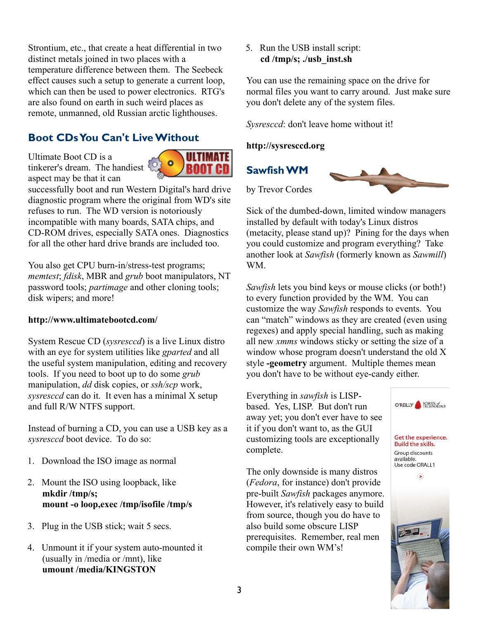Strontium, etc., that create a heat differential in two distinct metals joined in two places with a temperature difference between them. The Seebeck effect causes such a setup to generate a current loop, which can then be used to power electronics. RTG's are also found on earth in such weird places as remote, unmanned, old Russian arctic lighthouses.

## **Boot CDsYou Can't LiveWithout**

Ultimate Boot CD is a tinkerer's dream. The handiest aspect may be that it can



successfully boot and run Western Digital's hard drive diagnostic program where the original from WD's site refuses to run. The WD version is notoriously incompatible with many boards, SATA chips, and CD-ROM drives, especially SATA ones. Diagnostics for all the other hard drive brands are included too.

You also get CPU burn-in/stress-test programs; *memtest*; *fdisk*, MBR and *grub* boot manipulators, NT password tools; *partimage* and other cloning tools; disk wipers; and more!

#### **<http://www.ultimatebootcd.com/>**

System Rescue CD (*sysresccd*) is a live Linux distro with an eye for system utilities like *gparted* and all the useful system manipulation, editing and recovery tools. If you need to boot up to do some *grub* manipulation, *dd* disk copies, or *ssh/scp* work, *sysresccd* can do it. It even has a minimal X setup and full R/W NTFS support.

Instead of burning a CD, you can use a USB key as a *sysresccd* boot device. To do so:

- 1. Download the ISO image as normal
- 2. Mount the ISO using loopback, like **mkdir /tmp/s; mount -o loop,exec /tmp/isofile /tmp/s**
- 3. Plug in the USB stick; wait 5 secs.
- 4. Unmount it if your system auto-mounted it (usually in /media or /mnt), like **umount /media/KINGSTON**

5. Run the USB install script: **cd /tmp/s; ./usb\_inst.sh**

You can use the remaining space on the drive for normal files you want to carry around. Just make sure you don't delete any of the system files.

*Sysresccd*: don't leave home without it!

#### **[http://sysresccd.org](http://sysresccd.org/)**

**SawfishWM**



Sick of the dumbed-down, limited window managers installed by default with today's Linux distros (metacity, please stand up)? Pining for the days when you could customize and program everything? Take another look at *Sawfish* (formerly known as *Sawmill*) WM.

*Sawfish* lets you bind keys or mouse clicks (or both!) to every function provided by the WM. You can customize the way *Sawfish* responds to events. You can "match" windows as they are created (even using regexes) and apply special handling, such as making all new *xmms* windows sticky or setting the size of a window whose program doesn't understand the old X style **-geometry** argument. Multiple themes mean you don't have to be without eye-candy either.

Everything in *sawfish* is LISPbased. Yes, LISP. But don't run away yet; you don't ever have to see it if you don't want to, as the GUI customizing tools are exceptionally complete.

The only downside is many distros (*Fedora*, for instance) don't provide pre-built *Sawfish* packages anymore. However, it's relatively easy to build from source, though you do have to also build some obscure LISP prerequisites. Remember, real men compile their own WM's!